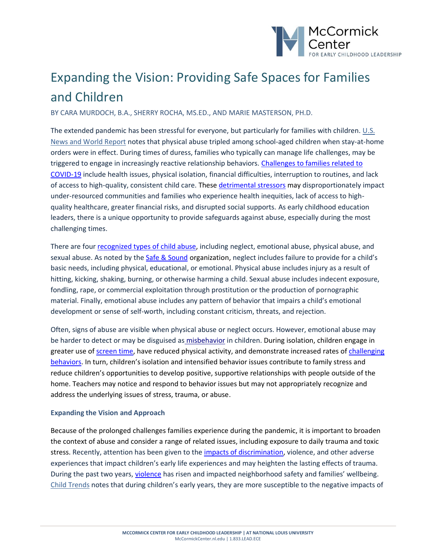

## Expanding the Vision: Providing Safe Spaces for Families and Children

BY CARA MURDOCH, B.A., SHERRY ROCHA, MS.ED., AND MARIE MASTERSON, PH.D.

The extended pandemic has been stressful for everyone, but particularly for families with children. U.S. [News and World Report](https://www.usnews.com/news/health-news/articles/2021-10-08/study-confirms-rise-in-child-abuse-during-covid-pandemic) notes that physical abuse tripled among school-aged children when stay-at-home orders were in effect. During times of duress, families who typically can manage life challenges, may be triggered to engage in increasingly reactive relationship behaviors. [Challenges to families related to](https://www.ncbi.nlm.nih.gov/pmc/articles/PMC8445758/)  [COVID-19](https://www.ncbi.nlm.nih.gov/pmc/articles/PMC8445758/) include health issues, physical isolation, financial difficulties, interruption to routines, and lack of access to high-quality, consistent child care. Thes[e detrimental stressors](https://www.cdc.gov/coronavirus/2019-ncov/community/health-equity/race-ethnicity.html) may disproportionately impact under-resourced communities and families who experience health inequities, lack of access to highquality healthcare, greater financial risks, and disrupted social supports. As early childhood education leaders, there is a unique opportunity to provide safeguards against abuse, especially during the most challenging times.

There are fou[r recognized types of child abuse,](https://safeandsound.org/about-abuse/what-is-child-abuse/) including neglect, emotional abuse, physical abuse, and sexual abuse. As noted by the [Safe & Sound](https://safeandsound.org/about-abuse/identifying-abuse/) organization, neglect includes failure to provide for a child's basic needs, including physical, educational, or emotional. Physical abuse includes injury as a result of hitting, kicking, shaking, burning, or otherwise harming a child. Sexual abuse includes indecent exposure, fondling, rape, or commercial exploitation through prostitution or the production of pornographic material. Finally, emotional abuse includes any pattern of behavior that impairs a child's emotional development or sense of self-worth, including constant criticism, threats, and rejection.

Often, signs of abuse are visible when physical abuse or neglect occurs. However, emotional abuse may be harder to detect or may be disguised as [misbehavior](https://www.samhsa.gov/sites/default/files/programs_campaigns/childrens_mental_health/what-is-child-traumatic-stress.pdf) in children. During isolation, children engage in greater use of [screen time,](https://srcd.onlinelibrary.wiley.com/doi/10.1111/cdev.13652) have reduced physical activity, and demonstrate increased rates of challenging [behaviors](https://www.thedenverchannel.com/news/national/schools-are-reporting-an-increase-in-students-misbehaving-experts-say-the-pandemic-is-to-blame). In turn, children's isolation and intensified behavior issues contribute to family stress and reduce children's opportunities to develop positive, supportive relationships with people outside of the home. Teachers may notice and respond to behavior issues but may not appropriately recognize and address the underlying issues of stress, trauma, or abuse.

## **Expanding the Vision and Approach**

Because of the prolonged challenges families experience during the pandemic, it is important to broaden the context of abuse and consider a range of related issues, including exposure to daily trauma and toxic stress. Recently, attention has been given to th[e impacts of discrimination,](https://www.samhsa.gov/sites/default/files/programs_campaigns/childrens_mental_health/atc-whitepaper-040616.pdf) violence, and other adverse experiences that impact children's early life experiences and may heighten the lasting effects of trauma. During the past two years, [violence](https://health.ucdavis.edu/newsroom/news/headlines/violence-increased-most-in-marginalized-neighborhoods-early-in-the-covid-19-pandemic/2021/12) has risen and impacted neighborhood safety and families' wellbeing. [Child Trends](https://www.childtrends.org/early-care-education-can-help-young-children-overcome-trauma) notes that during children's early years, they are more susceptible to the negative impacts of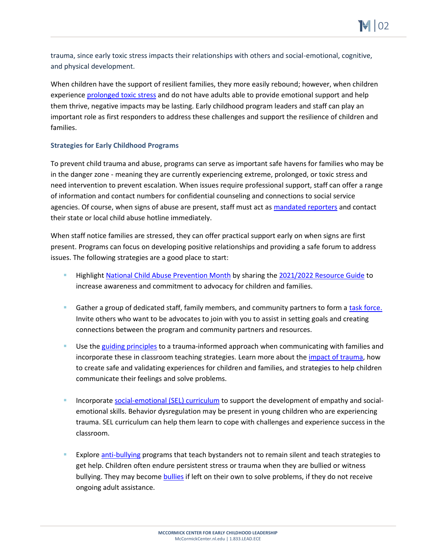trauma, since early toxic stress impacts their relationships with others and social-emotional, cognitive, and physical development.

When children have the support of resilient families, they more easily rebound; however, when children experienc[e prolonged toxic stress](https://developingchild.harvard.edu/guide/a-guide-to-toxic-stress/) and do not have adults able to provide emotional support and help them thrive, negative impacts may be lasting. Early childhood program leaders and staff can play an important role as first responders to address these challenges and support the resilience of children and families.

## **Strategies for Early Childhood Programs**

To prevent child trauma and abuse, programs can serve as important safe havens for families who may be in the danger zone - meaning they are currently experiencing extreme, prolonged, or toxic stress and need intervention to prevent escalation. When issues require professional support, staff can offer a range of information and contact numbers for confidential counseling and connections to social service agencies. Of course, when signs of abuse are present, staff must act as [mandated reporters](https://www.childwelfare.gov/topics/systemwide/laws-policies/statutes/manda/) and contact their state or local child abuse hotline immediately.

When staff notice families are stressed, they can offer practical support early on when signs are first present. Programs can focus on developing positive relationships and providing a safe forum to address issues. The following strategies are a good place to start:

- Highligh[t National Child Abuse Prevention Month](https://www.childwelfare.gov/topics/preventing/preventionmonth/resources/resource-guide/) by sharing th[e 2021/2022 Resource Guide](https://www.childwelfare.gov/topics/preventing/preventionmonth/resources/resource-guide/) to increase awareness and commitment to advocacy for children and families.
- Gather a group of dedicated staff, family members, and community partners to form a [task force.](https://www.nscstrategies.com/governance/10-steps-forming-successful-task-force/) Invite others who want to be advocates to join with you to assist in setting goals and creating connections between the program and community partners and resources.
- Use th[e guiding principles](https://www.cdc.gov/cpr/infographics/6_principles_trauma_info.htm) to a trauma-informed approach when communicating with families and incorporate these in classroom teaching strategies. Learn more about the [impact of trauma,](https://www.naeyc.org/resources/pubs/yc/may2015/trauma-sensitive-classrooms) how to create safe and validating experiences for children and families, and strategies to help children communicate their feelings and solve problems.
- Incorporate [social-emotional \(SEL\) curriculum](https://teach.com/resources/social-emotional-learning-in-children/) to support the development of empathy and socialemotional skills. Behavior dysregulation may be present in young children who are experiencing trauma. SEL curriculum can help them learn to cope with challenges and experience success in the classroom.
- Explore [anti-bullying](https://www.naeyc.org/resources/blog/bullying-early-childhood) programs that teach bystanders not to remain silent and teach strategies to get help. Children often endure persistent stress or trauma when they are bullied or witness bullying. They may become [bullies](https://www.stopbullying.gov/blog/2013/01/03/teaching-social-skills-to-prevent-bullying-in-young-children) if left on their own to solve problems, if they do not receive ongoing adult assistance.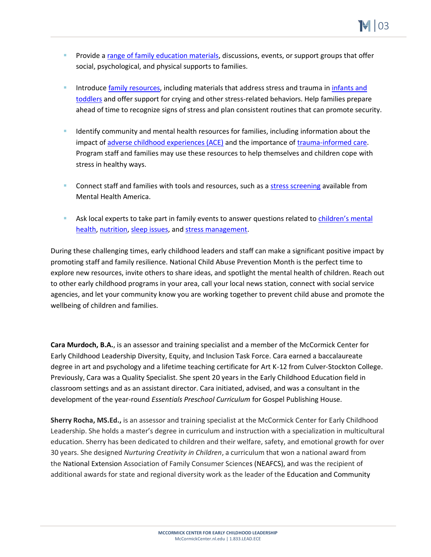- Provide a [range of family education materials,](https://www.mghclaycenter.org/parenting-concerns/supporting-your-child-in-the-face-of-trauma/) discussions, events, or support groups that offer social, psychological, and physical supports to families.
- Introduce [family resources,](https://www.naeyc.org/resources/topics/family-engagement) including materials that address stress and trauma in infants and [toddlers](https://www.zerotothree.org/espanol/trauma-and-stress) and offer support for crying and other stress-related behaviors. Help families prepare ahead of time to recognize signs of stress and plan consistent routines that can promote security.
- Identify community and mental health resources for families, including information about the impact of [adverse childhood experiences \(ACE\)](https://www.acesaware.org/resources/resources-by-organization/american-academy-of-pediatrics/) and the importance of [trauma-informed care.](https://www.nctsn.org/trauma-informed-care) Program staff and families may use these resources to help themselves and children cope with stress in healthy ways.
- Connect staff and families with tools and resources, such as a [stress screening](https://www.mhanational.org/self-help-tools) available from Mental Health America.
- Ask local experts to take part in family events to answer questions related to children's mental [health,](https://www.cdc.gov/childrensmentalhealth/index.html) [nutrition,](https://kidshealth.org/en/kids/fit-kid.html#catbody) [sleep issues,](https://healthblog.uofmhealth.org/childrens-health/helping-your-kids-overcome-stress-related-sleep-disruption) an[d stress management.](https://kidshealth.org/en/parents/stress.html)

During these challenging times, early childhood leaders and staff can make a significant positive impact by promoting staff and family resilience. National Child Abuse Prevention Month is the perfect time to explore new resources, invite others to share ideas, and spotlight the mental health of children. Reach out to other early childhood programs in your area, call your local news station, connect with social service agencies, and let your community know you are working together to prevent child abuse and promote the wellbeing of children and families.

**Cara Murdoch, B.A.**, is an assessor and training specialist and a member of the McCormick Center for Early Childhood Leadership Diversity, Equity, and Inclusion Task Force. Cara earned a baccalaureate degree in art and psychology and a lifetime teaching certificate for Art K-12 from Culver-Stockton College. Previously, Cara was a Quality Specialist. She spent 20 years in the Early Childhood Education field in classroom settings and as an assistant director. Cara initiated, advised, and was a consultant in the development of the year-round *Essentials Preschool Curriculum* for Gospel Publishing House.

**Sherry Rocha, MS.Ed.,** is an assessor and training specialist at the McCormick Center for Early Childhood Leadership. She holds a master's degree in curriculum and instruction with a specialization in multicultural education. Sherry has been dedicated to children and their welfare, safety, and emotional growth for over 30 years. She designed *Nurturing Creativity in Children*, a curriculum that won a national award from the National Extension Association of Family Consumer Sciences (NEAFCS), and was the recipient of additional awards for state and regional diversity work as the leader of the Education and Community